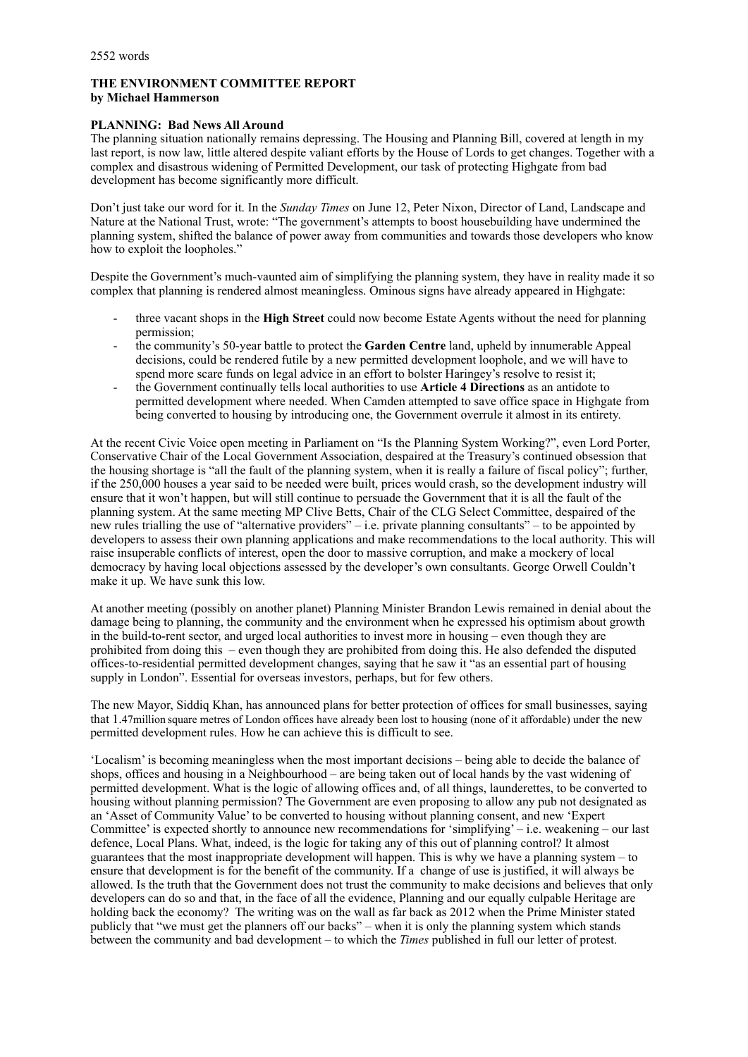# **THE ENVIRONMENT COMMITTEE REPORT by Michael Hammerson**

## **PLANNING: Bad News All Around**

The planning situation nationally remains depressing. The Housing and Planning Bill, covered at length in my last report, is now law, little altered despite valiant efforts by the House of Lords to get changes. Together with a complex and disastrous widening of Permitted Development, our task of protecting Highgate from bad development has become significantly more difficult.

Don't just take our word for it. In the *Sunday Times* on June 12, Peter Nixon, Director of Land, Landscape and Nature at the National Trust, wrote: "The government's attempts to boost housebuilding have undermined the planning system, shifted the balance of power away from communities and towards those developers who know how to exploit the loopholes."

Despite the Government's much-vaunted aim of simplifying the planning system, they have in reality made it so complex that planning is rendered almost meaningless. Ominous signs have already appeared in Highgate:

- three vacant shops in the **High Street** could now become Estate Agents without the need for planning permission;
- the community's 50-year battle to protect the **Garden Centre** land, upheld by innumerable Appeal decisions, could be rendered futile by a new permitted development loophole, and we will have to spend more scare funds on legal advice in an effort to bolster Haringey's resolve to resist it;
- the Government continually tells local authorities to use **Article 4 Directions** as an antidote to permitted development where needed. When Camden attempted to save office space in Highgate from being converted to housing by introducing one, the Government overrule it almost in its entirety.

At the recent Civic Voice open meeting in Parliament on "Is the Planning System Working?", even Lord Porter, Conservative Chair of the Local Government Association, despaired at the Treasury's continued obsession that the housing shortage is "all the fault of the planning system, when it is really a failure of fiscal policy"; further, if the 250,000 houses a year said to be needed were built, prices would crash, so the development industry will ensure that it won't happen, but will still continue to persuade the Government that it is all the fault of the planning system. At the same meeting MP Clive Betts, Chair of the CLG Select Committee, despaired of the new rules trialling the use of "alternative providers" – i.e. private planning consultants" – to be appointed by developers to assess their own planning applications and make recommendations to the local authority. This will raise insuperable conflicts of interest, open the door to massive corruption, and make a mockery of local democracy by having local objections assessed by the developer's own consultants. George Orwell Couldn't make it up. We have sunk this low.

At another meeting (possibly on another planet) Planning Minister Brandon Lewis remained in denial about the damage being to planning, the community and the environment when he expressed his optimism about growth in the build-to-rent sector, and urged local authorities to invest more in housing – even though they are prohibited from doing this – even though they are prohibited from doing this. He also defended the disputed offices-to-residential permitted development changes, saying that he saw it "as an essential part of housing supply in London". Essential for overseas investors, perhaps, but for few others.

The new Mayor, Siddiq Khan, has announced plans for better protection of offices for small businesses, saying that 1.47million square metres of London offices have already been lost to housing (none of it affordable) under the new permitted development rules. How he can achieve this is difficult to see.

'Localism' is becoming meaningless when the most important decisions – being able to decide the balance of shops, offices and housing in a Neighbourhood – are being taken out of local hands by the vast widening of permitted development. What is the logic of allowing offices and, of all things, launderettes, to be converted to housing without planning permission? The Government are even proposing to allow any pub not designated as an 'Asset of Community Value' to be converted to housing without planning consent, and new 'Expert Committee' is expected shortly to announce new recommendations for 'simplifying' – i.e. weakening – our last defence, Local Plans. What, indeed, is the logic for taking any of this out of planning control? It almost guarantees that the most inappropriate development will happen. This is why we have a planning system – to ensure that development is for the benefit of the community. If a change of use is justified, it will always be allowed. Is the truth that the Government does not trust the community to make decisions and believes that only developers can do so and that, in the face of all the evidence, Planning and our equally culpable Heritage are holding back the economy? The writing was on the wall as far back as 2012 when the Prime Minister stated publicly that "we must get the planners off our backs" – when it is only the planning system which stands between the community and bad development – to which the *Times* published in full our letter of protest.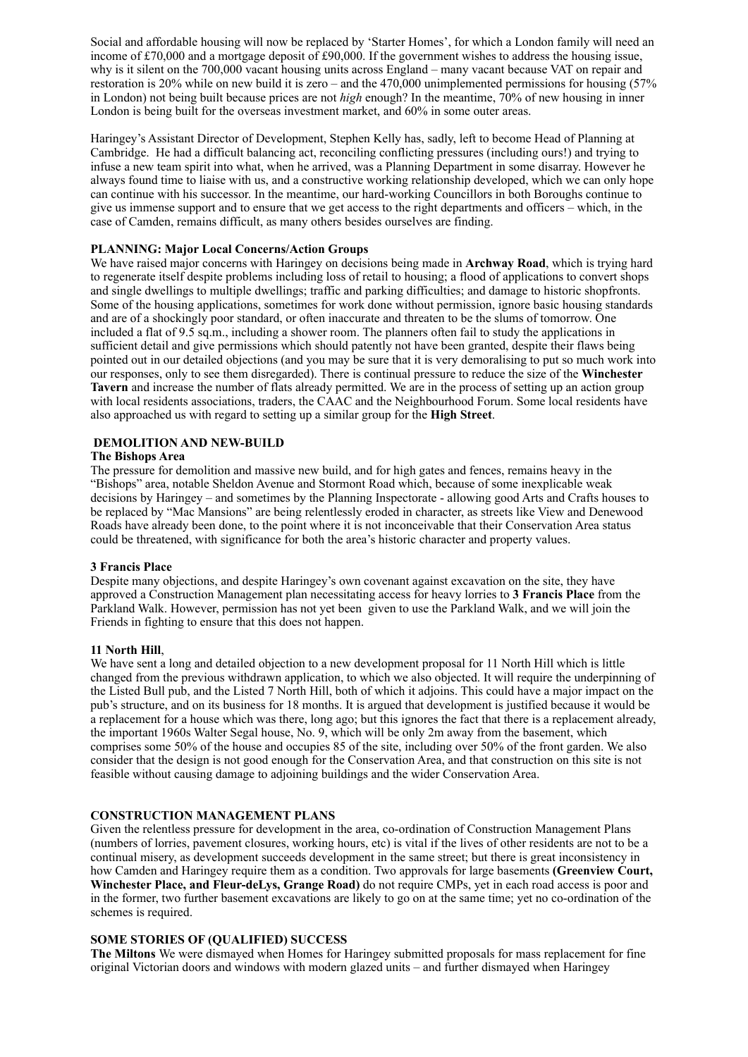Social and affordable housing will now be replaced by 'Starter Homes', for which a London family will need an income of £70,000 and a mortgage deposit of £90,000. If the government wishes to address the housing issue, why is it silent on the 700,000 vacant housing units across England – many vacant because VAT on repair and restoration is 20% while on new build it is zero – and the 470,000 unimplemented permissions for housing (57% in London) not being built because prices are not *high* enough? In the meantime, 70% of new housing in inner London is being built for the overseas investment market, and 60% in some outer areas.

Haringey's Assistant Director of Development, Stephen Kelly has, sadly, left to become Head of Planning at Cambridge. He had a difficult balancing act, reconciling conflicting pressures (including ours!) and trying to infuse a new team spirit into what, when he arrived, was a Planning Department in some disarray. However he always found time to liaise with us, and a constructive working relationship developed, which we can only hope can continue with his successor. In the meantime, our hard-working Councillors in both Boroughs continue to give us immense support and to ensure that we get access to the right departments and officers – which, in the case of Camden, remains difficult, as many others besides ourselves are finding.

### **PLANNING: Major Local Concerns/Action Groups**

We have raised major concerns with Haringey on decisions being made in **Archway Road**, which is trying hard to regenerate itself despite problems including loss of retail to housing; a flood of applications to convert shops and single dwellings to multiple dwellings; traffic and parking difficulties; and damage to historic shopfronts. Some of the housing applications, sometimes for work done without permission, ignore basic housing standards and are of a shockingly poor standard, or often inaccurate and threaten to be the slums of tomorrow. One included a flat of 9.5 sq.m., including a shower room. The planners often fail to study the applications in sufficient detail and give permissions which should patently not have been granted, despite their flaws being pointed out in our detailed objections (and you may be sure that it is very demoralising to put so much work into our responses, only to see them disregarded). There is continual pressure to reduce the size of the **Winchester Tavern** and increase the number of flats already permitted. We are in the process of setting up an action group with local residents associations, traders, the CAAC and the Neighbourhood Forum. Some local residents have also approached us with regard to setting up a similar group for the **High Street**.

## **DEMOLITION AND NEW-BUILD**

### **The Bishops Area**

The pressure for demolition and massive new build, and for high gates and fences, remains heavy in the "Bishops" area, notable Sheldon Avenue and Stormont Road which, because of some inexplicable weak decisions by Haringey – and sometimes by the Planning Inspectorate - allowing good Arts and Crafts houses to be replaced by "Mac Mansions" are being relentlessly eroded in character, as streets like View and Denewood Roads have already been done, to the point where it is not inconceivable that their Conservation Area status could be threatened, with significance for both the area's historic character and property values.

## **3 Francis Place**

Despite many objections, and despite Haringey's own covenant against excavation on the site, they have approved a Construction Management plan necessitating access for heavy lorries to **3 Francis Place** from the Parkland Walk. However, permission has not yet been given to use the Parkland Walk, and we will join the Friends in fighting to ensure that this does not happen.

#### **11 North Hill**,

We have sent a long and detailed objection to a new development proposal for 11 North Hill which is little changed from the previous withdrawn application, to which we also objected. It will require the underpinning of the Listed Bull pub, and the Listed 7 North Hill, both of which it adjoins. This could have a major impact on the pub's structure, and on its business for 18 months. It is argued that development is justified because it would be a replacement for a house which was there, long ago; but this ignores the fact that there is a replacement already, the important 1960s Walter Segal house, No. 9, which will be only 2m away from the basement, which comprises some 50% of the house and occupies 85 of the site, including over 50% of the front garden. We also consider that the design is not good enough for the Conservation Area, and that construction on this site is not feasible without causing damage to adjoining buildings and the wider Conservation Area.

#### **CONSTRUCTION MANAGEMENT PLANS**

Given the relentless pressure for development in the area, co-ordination of Construction Management Plans (numbers of lorries, pavement closures, working hours, etc) is vital if the lives of other residents are not to be a continual misery, as development succeeds development in the same street; but there is great inconsistency in how Camden and Haringey require them as a condition. Two approvals for large basements **(Greenview Court, Winchester Place, and Fleur-deLys, Grange Road)** do not require CMPs, yet in each road access is poor and in the former, two further basement excavations are likely to go on at the same time; yet no co-ordination of the schemes is required.

## **SOME STORIES OF (QUALIFIED) SUCCESS**

**The Miltons** We were dismayed when Homes for Haringey submitted proposals for mass replacement for fine original Victorian doors and windows with modern glazed units – and further dismayed when Haringey